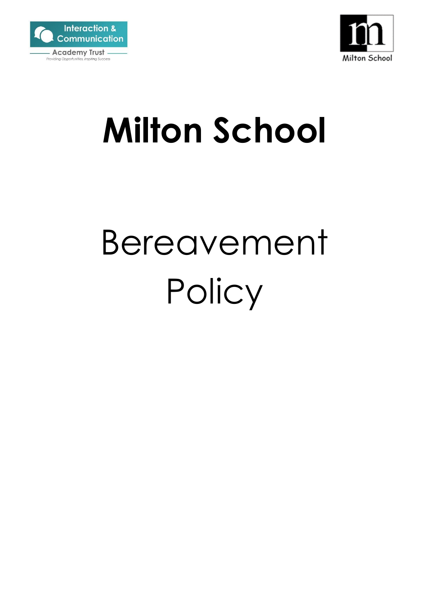



## **Milton School**

# Bereavement **Policy**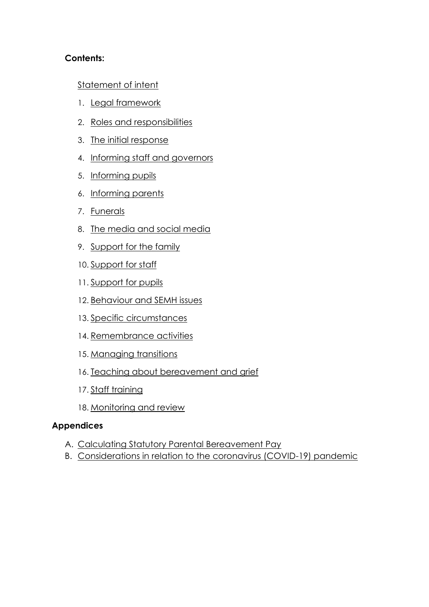## **Contents:**

## [Statement of intent](#page-2-0)

- 1. [Legal framework](#page-3-0)
- 2. [Roles and responsibilities](#page-3-1)
- 3. [The initial response](#page-5-0)
- 4. [Informing staff and governors](#page-6-0)
- 5. [Informing pupils](#page-7-0)
- 6. [Informing parents](#page-8-0)
- 7. [Funerals](#page-9-0)
- 8. [The media and social media](#page-9-1)
- 9. [Support for the family](#page-10-0)
- 10. [Support for staff](#page-10-1)
- 11. [Support for pupils](#page-12-0)
- 12. [Behaviour and SEMH issues](#page-14-0)
- 13. [Specific circumstances](#page-15-0)
- 14. [Remembrance activities](#page-18-0)
- 15. [Managing transitions](#page-18-1)
- 16. [Teaching about bereavement and grief](#page-19-0)
- 17. [Staff training](#page-19-1)
- 18. [Monitoring and review](#page-19-2)

#### **Appendices**

- A. [Calculating Statutory Parental Bereavement Pay](#page-21-0)
- B. [Considerations in relation to the coronavirus \(COVID-19\) pandemic](#page-25-0)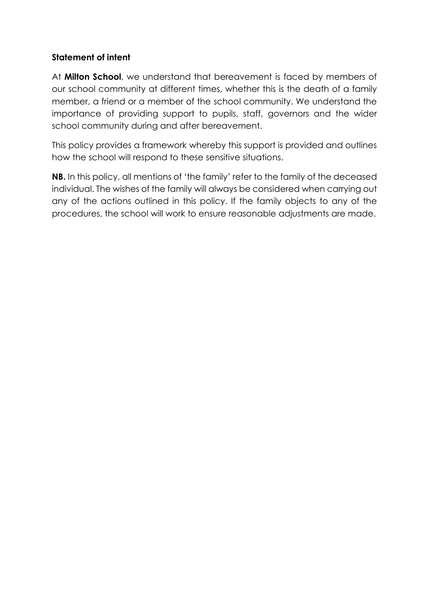## <span id="page-2-0"></span>**Statement of intent**

At **Milton School**, we understand that bereavement is faced by members of our school community at different times, whether this is the death of a family member, a friend or a member of the school community. We understand the importance of providing support to pupils, staff, governors and the wider school community during and after bereavement.

This policy provides a framework whereby this support is provided and outlines how the school will respond to these sensitive situations.

**NB.** In this policy, all mentions of 'the family' refer to the family of the deceased individual. The wishes of the family will always be considered when carrying out any of the actions outlined in this policy. If the family objects to any of the procedures, the school will work to ensure reasonable adjustments are made.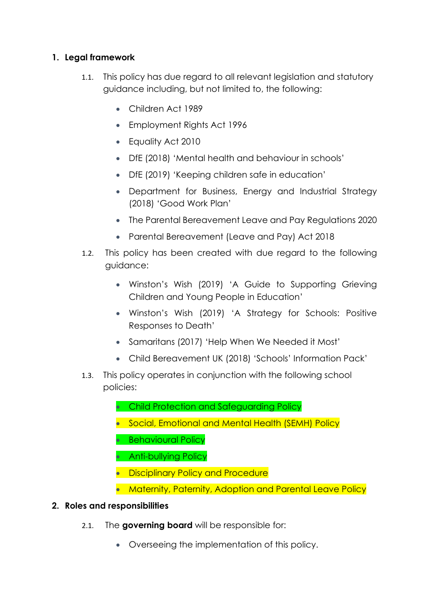## <span id="page-3-0"></span>**1. Legal framework**

- 1.1. This policy has due regard to all relevant legislation and statutory guidance including, but not limited to, the following:
	- Children Act 1989
	- Employment Rights Act 1996
	- Equality Act 2010
	- DfE (2018) 'Mental health and behaviour in schools'
	- DfE (2019) 'Keeping children safe in education'
	- Department for Business, Energy and Industrial Strategy (2018) 'Good Work Plan'
	- The Parental Bereavement Leave and Pay Regulations 2020
	- Parental Bereavement (Leave and Pay) Act 2018
- 1.2. This policy has been created with due regard to the following guidance:
	- Winston's Wish (2019) 'A Guide to Supporting Grieving Children and Young People in Education'
	- Winston's Wish (2019) 'A Strategy for Schools: Positive Responses to Death'
	- Samaritans (2017) 'Help When We Needed it Most'
	- Child Bereavement UK (2018) 'Schools' Information Pack'
- 1.3. This policy operates in conjunction with the following school policies:
	- Child Protection and Safeguarding Policy
	- Social, Emotional and Mental Health (SEMH) Policy
	- Behavioural Policy
	- Anti-bullying Policy
	- Disciplinary Policy and Procedure
	- Maternity, Paternity, Adoption and Parental Leave Policy

## <span id="page-3-1"></span>**2. Roles and responsibilities**

- 2.1. The **governing board** will be responsible for:
	- Overseeing the implementation of this policy.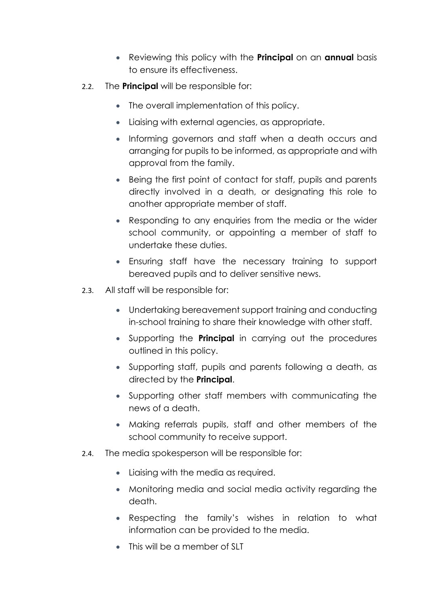- Reviewing this policy with the **Principal** on an **annual** basis to ensure its effectiveness.
- 2.2. The **Principal** will be responsible for:
	- The overall implementation of this policy.
	- Liaising with external agencies, as appropriate.
	- Informing governors and staff when a death occurs and arranging for pupils to be informed, as appropriate and with approval from the family.
	- Being the first point of contact for staff, pupils and parents directly involved in a death, or designating this role to another appropriate member of staff.
	- Responding to any enquiries from the media or the wider school community, or appointing a member of staff to undertake these duties.
	- Ensuring staff have the necessary training to support bereaved pupils and to deliver sensitive news.
- 2.3. All staff will be responsible for:
	- Undertaking bereavement support training and conducting in-school training to share their knowledge with other staff.
	- Supporting the **Principal** in carrying out the procedures outlined in this policy.
	- Supporting staff, pupils and parents following a death, as directed by the **Principal**.
	- Supporting other staff members with communicating the news of a death.
	- Making referrals pupils, staff and other members of the school community to receive support.
- 2.4. The media spokesperson will be responsible for:
	- Liaising with the media as required.
	- Monitoring media and social media activity regarding the death.
	- Respecting the family's wishes in relation to what information can be provided to the media.
	- This will be a member of SLT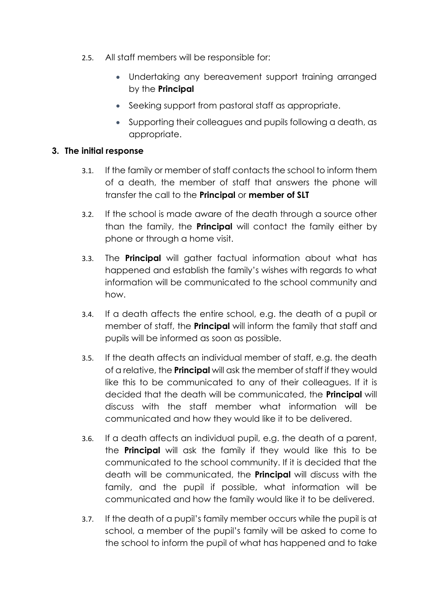- 2.5. All staff members will be responsible for:
	- Undertaking any bereavement support training arranged by the **Principal**
	- Seeking support from pastoral staff as appropriate.
	- Supporting their colleagues and pupils following a death, as appropriate.

## <span id="page-5-0"></span>**3. The initial response**

- 3.1. If the family or member of staff contacts the school to inform them of a death, the member of staff that answers the phone will transfer the call to the **Principal** or **member of SLT**
- 3.2. If the school is made aware of the death through a source other than the family, the **Principal** will contact the family either by phone or through a home visit.
- 3.3. The **Principal** will gather factual information about what has happened and establish the family's wishes with regards to what information will be communicated to the school community and how.
- 3.4. If a death affects the entire school, e.g. the death of a pupil or member of staff, the **Principal** will inform the family that staff and pupils will be informed as soon as possible.
- 3.5. If the death affects an individual member of staff, e.g. the death of a relative, the **Principal** will ask the member of staff if they would like this to be communicated to any of their colleagues. If it is decided that the death will be communicated, the **Principal** will discuss with the staff member what information will be communicated and how they would like it to be delivered.
- 3.6. If a death affects an individual pupil, e.g. the death of a parent, the **Principal** will ask the family if they would like this to be communicated to the school community. If it is decided that the death will be communicated, the **Principal** will discuss with the family, and the pupil if possible, what information will be communicated and how the family would like it to be delivered.
- 3.7. If the death of a pupil's family member occurs while the pupil is at school, a member of the pupil's family will be asked to come to the school to inform the pupil of what has happened and to take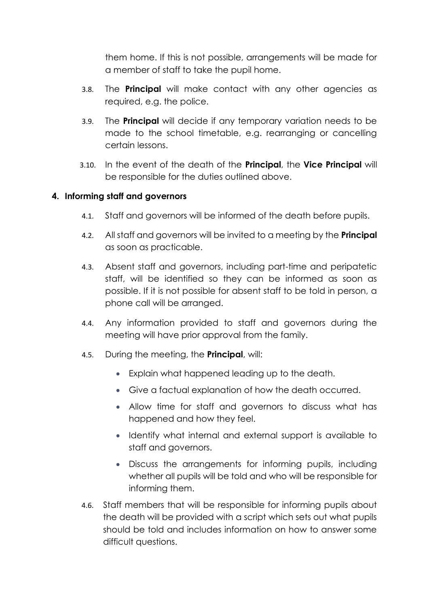them home. If this is not possible, arrangements will be made for a member of staff to take the pupil home.

- 3.8. The **Principal** will make contact with any other agencies as required, e.g. the police.
- 3.9. The **Principal** will decide if any temporary variation needs to be made to the school timetable, e.g. rearranging or cancelling certain lessons.
- 3.10. In the event of the death of the **Principal**, the **Vice Principal** will be responsible for the duties outlined above.

## <span id="page-6-0"></span>**4. Informing staff and governors**

- 4.1. Staff and governors will be informed of the death before pupils.
- 4.2. All staff and governors will be invited to a meeting by the **Principal** as soon as practicable.
- 4.3. Absent staff and governors, including part-time and peripatetic staff, will be identified so they can be informed as soon as possible. If it is not possible for absent staff to be told in person, a phone call will be arranged.
- 4.4. Any information provided to staff and governors during the meeting will have prior approval from the family.
- 4.5. During the meeting, the **Principal**, will:
	- Explain what happened leading up to the death.
	- Give a factual explanation of how the death occurred.
	- Allow time for staff and governors to discuss what has happened and how they feel.
	- Identify what internal and external support is available to staff and governors.
	- Discuss the arrangements for informing pupils, including whether all pupils will be told and who will be responsible for informing them.
- 4.6. Staff members that will be responsible for informing pupils about the death will be provided with a script which sets out what pupils should be told and includes information on how to answer some difficult questions.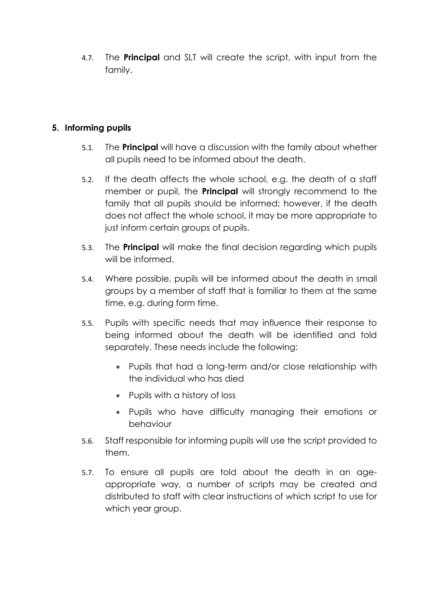4.7. The **Principal** and SLT will create the script, with input from the family.

## <span id="page-7-0"></span>**5. Informing pupils**

- 5.1. The **Principal** will have a discussion with the family about whether all pupils need to be informed about the death.
- 5.2. If the death affects the whole school, e.g. the death of a staff member or pupil, the **Principal** will strongly recommend to the family that all pupils should be informed; however, if the death does not affect the whole school, it may be more appropriate to just inform certain groups of pupils.
- 5.3. The **Principal** will make the final decision regarding which pupils will be informed.
- 5.4. Where possible, pupils will be informed about the death in small groups by a member of staff that is familiar to them at the same time, e.g. during form time.
- 5.5. Pupils with specific needs that may influence their response to being informed about the death will be identified and told separately. These needs include the following:
	- Pupils that had a long-term and/or close relationship with the individual who has died
	- Pupils with a history of loss
	- Pupils who have difficulty managing their emotions or behaviour
- 5.6. Staff responsible for informing pupils will use the script provided to them.
- 5.7. To ensure all pupils are told about the death in an ageappropriate way, a number of scripts may be created and distributed to staff with clear instructions of which script to use for which year group.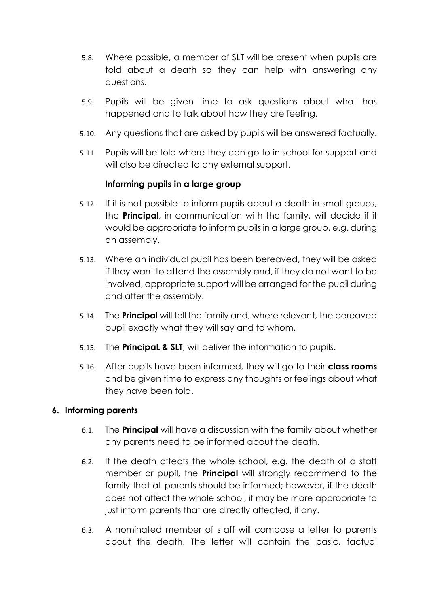- 5.8. Where possible, a member of SLT will be present when pupils are told about a death so they can help with answering any questions.
- 5.9. Pupils will be given time to ask questions about what has happened and to talk about how they are feeling.
- 5.10. Any questions that are asked by pupils will be answered factually.
- 5.11. Pupils will be told where they can go to in school for support and will also be directed to any external support.

## **Informing pupils in a large group**

- 5.12. If it is not possible to inform pupils about a death in small groups, the **Principal**, in communication with the family, will decide if it would be appropriate to inform pupils in a large group, e.g. during an assembly.
- 5.13. Where an individual pupil has been bereaved, they will be asked if they want to attend the assembly and, if they do not want to be involved, appropriate support will be arranged for the pupil during and after the assembly.
- 5.14. The **Principal** will tell the family and, where relevant, the bereaved pupil exactly what they will say and to whom.
- 5.15. The **PrincipaL & SLT**, will deliver the information to pupils.
- 5.16. After pupils have been informed, they will go to their **class rooms** and be given time to express any thoughts or feelings about what they have been told.

#### <span id="page-8-0"></span>**6. Informing parents**

- 6.1. The **Principal** will have a discussion with the family about whether any parents need to be informed about the death.
- 6.2. If the death affects the whole school, e.g. the death of a staff member or pupil, the **Principal** will strongly recommend to the family that all parents should be informed; however, if the death does not affect the whole school, it may be more appropriate to just inform parents that are directly affected, if any.
- 6.3. A nominated member of staff will compose a letter to parents about the death. The letter will contain the basic, factual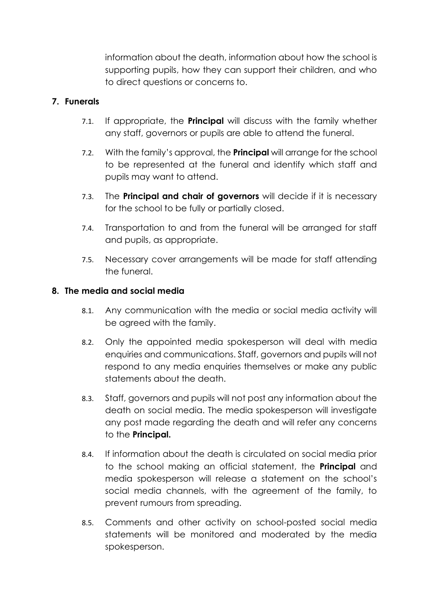information about the death, information about how the school is supporting pupils, how they can support their children, and who to direct questions or concerns to.

## <span id="page-9-0"></span>**7. Funerals**

- 7.1. If appropriate, the **Principal** will discuss with the family whether any staff, governors or pupils are able to attend the funeral.
- 7.2. With the family's approval, the **Principal** will arrange for the school to be represented at the funeral and identify which staff and pupils may want to attend.
- 7.3. The **Principal and chair of governors** will decide if it is necessary for the school to be fully or partially closed.
- 7.4. Transportation to and from the funeral will be arranged for staff and pupils, as appropriate.
- 7.5. Necessary cover arrangements will be made for staff attending the funeral.

## <span id="page-9-1"></span>**8. The media and social media**

- 8.1. Any communication with the media or social media activity will be agreed with the family.
- 8.2. Only the appointed media spokesperson will deal with media enquiries and communications. Staff, governors and pupils will not respond to any media enquiries themselves or make any public statements about the death.
- 8.3. Staff, governors and pupils will not post any information about the death on social media. The media spokesperson will investigate any post made regarding the death and will refer any concerns to the **Principal.**
- 8.4. If information about the death is circulated on social media prior to the school making an official statement, the **Principal** and media spokesperson will release a statement on the school's social media channels, with the agreement of the family, to prevent rumours from spreading.
- 8.5. Comments and other activity on school-posted social media statements will be monitored and moderated by the media spokesperson.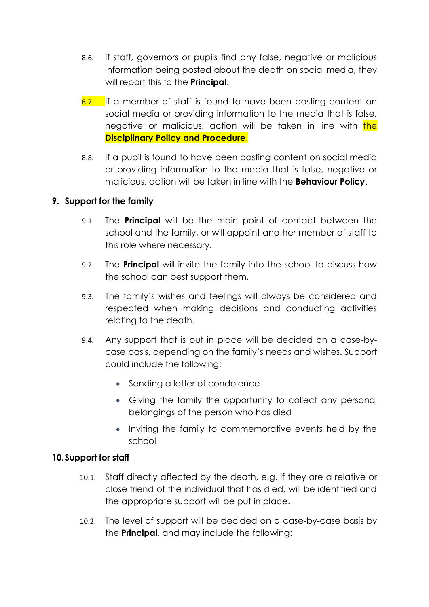- 8.6. If staff, governors or pupils find any false, negative or malicious information being posted about the death on social media, they will report this to the **Principal**.
- 8.7. If a member of staff is found to have been posting content on social media or providing information to the media that is false, negative or malicious, action will be taken in line with the **Disciplinary Policy and Procedure**.
- 8.8. If a pupil is found to have been posting content on social media or providing information to the media that is false, negative or malicious, action will be taken in line with the **Behaviour Policy**.

## <span id="page-10-0"></span>**9. Support for the family**

- 9.1. The **Principal** will be the main point of contact between the school and the family, or will appoint another member of staff to this role where necessary.
- 9.2. The **Principal** will invite the family into the school to discuss how the school can best support them.
- 9.3. The family's wishes and feelings will always be considered and respected when making decisions and conducting activities relating to the death.
- 9.4. Any support that is put in place will be decided on a case-bycase basis, depending on the family's needs and wishes. Support could include the following:
	- Sending a letter of condolence
	- Giving the family the opportunity to collect any personal belongings of the person who has died
	- Inviting the family to commemorative events held by the school

#### <span id="page-10-1"></span>**10.Support for staff**

- 10.1. Staff directly affected by the death, e.g. if they are a relative or close friend of the individual that has died, will be identified and the appropriate support will be put in place.
- 10.2. The level of support will be decided on a case-by-case basis by the **Principal**, and may include the following: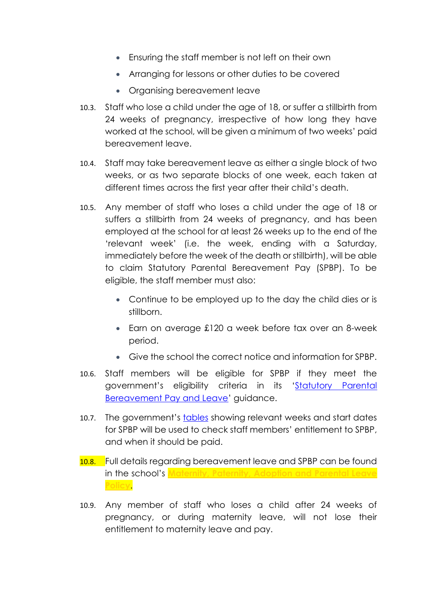- Ensuring the staff member is not left on their own
- Arranging for lessons or other duties to be covered
- Organising bereavement leave
- 10.3. Staff who lose a child under the age of 18, or suffer a stillbirth from 24 weeks of pregnancy, irrespective of how long they have worked at the school, will be given a minimum of two weeks' paid bereavement leave.
- 10.4. Staff may take bereavement leave as either a single block of two weeks, or as two separate blocks of one week, each taken at different times across the first year after their child's death.
- 10.5. Any member of staff who loses a child under the age of 18 or suffers a stillbirth from 24 weeks of pregnancy, and has been employed at the school for at least 26 weeks up to the end of the 'relevant week' (i.e. the week, ending with a Saturday, immediately before the week of the death or stillbirth), will be able to claim Statutory Parental Bereavement Pay (SPBP). To be eligible, the staff member must also:
	- Continue to be employed up to the day the child dies or is stillborn.
	- Earn on average £120 a week before tax over an 8-week period.
	- Give the school the correct notice and information for SPBP.
- 10.6. Staff members will be eligible for SPBP if they meet the government's eligibility criteria in its '[Statutory Parental](https://www.gov.uk/parental-bereavement-pay-leave/check-if-youre-eligible)  [Bereavement Pay and Leave](https://www.gov.uk/parental-bereavement-pay-leave/check-if-youre-eligible)' guidance.
- 10.7. The government's [tables](https://www.gov.uk/government/publications/tables-showing-relevant-weeks-and-start-dates-for-statutory-parental-bereavement-pay) showing relevant weeks and start dates for SPBP will be used to check staff members' entitlement to SPBP, and when it should be paid.
- 10.8. Full details regarding bereavement leave and SPBP can be found in the school's **Maternity, Paternity, Adoption and Parental Leave Policy**.
- 10.9. Any member of staff who loses a child after 24 weeks of pregnancy, or during maternity leave, will not lose their entitlement to maternity leave and pay.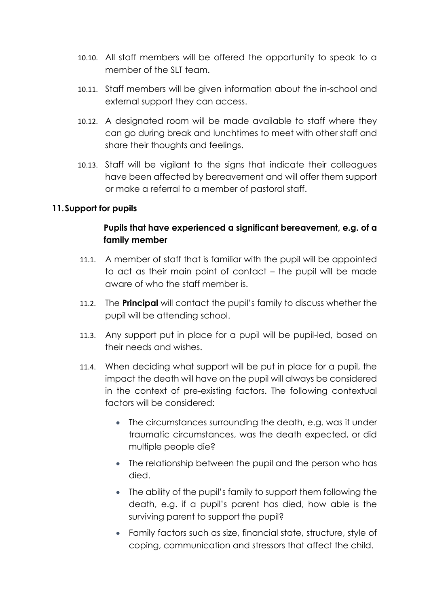- 10.10. All staff members will be offered the opportunity to speak to a member of the SLT team.
- 10.11. Staff members will be given information about the in-school and external support they can access.
- 10.12. A designated room will be made available to staff where they can go during break and lunchtimes to meet with other staff and share their thoughts and feelings.
- 10.13. Staff will be vigilant to the signs that indicate their colleagues have been affected by bereavement and will offer them support or make a referral to a member of pastoral staff.

#### <span id="page-12-0"></span>**11.Support for pupils**

## **Pupils that have experienced a significant bereavement, e.g. of a family member**

- 11.1. A member of staff that is familiar with the pupil will be appointed to act as their main point of contact – the pupil will be made aware of who the staff member is.
- 11.2. The **Principal** will contact the pupil's family to discuss whether the pupil will be attending school.
- 11.3. Any support put in place for a pupil will be pupil-led, based on their needs and wishes.
- 11.4. When deciding what support will be put in place for a pupil, the impact the death will have on the pupil will always be considered in the context of pre-existing factors. The following contextual factors will be considered:
	- The circumstances surrounding the death, e.g. was it under traumatic circumstances, was the death expected, or did multiple people die?
	- The relationship between the pupil and the person who has died.
	- The ability of the pupil's family to support them following the death, e.g. if a pupil's parent has died, how able is the surviving parent to support the pupil?
	- Family factors such as size, financial state, structure, style of coping, communication and stressors that affect the child.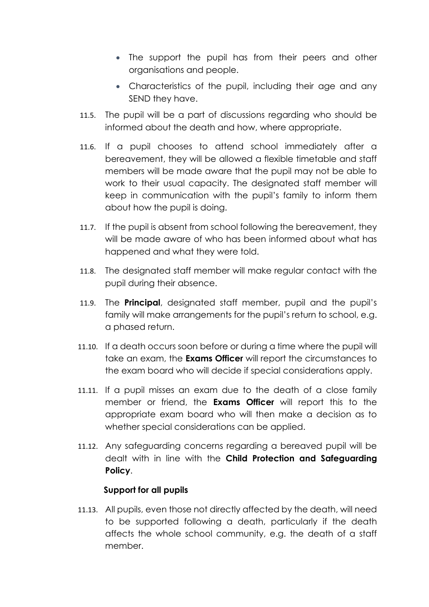- The support the pupil has from their peers and other organisations and people.
- Characteristics of the pupil, including their age and any SEND they have.
- 11.5. The pupil will be a part of discussions regarding who should be informed about the death and how, where appropriate.
- 11.6. If a pupil chooses to attend school immediately after a bereavement, they will be allowed a flexible timetable and staff members will be made aware that the pupil may not be able to work to their usual capacity. The designated staff member will keep in communication with the pupil's family to inform them about how the pupil is doing.
- 11.7. If the pupil is absent from school following the bereavement, they will be made aware of who has been informed about what has happened and what they were told.
- 11.8. The designated staff member will make regular contact with the pupil during their absence.
- 11.9. The **Principal**, designated staff member, pupil and the pupil's family will make arrangements for the pupil's return to school, e.g. a phased return.
- 11.10. If a death occurs soon before or during a time where the pupil will take an exam, the **Exams Officer** will report the circumstances to the exam board who will decide if special considerations apply.
- 11.11. If a pupil misses an exam due to the death of a close family member or friend, the **Exams Officer** will report this to the appropriate exam board who will then make a decision as to whether special considerations can be applied.
- 11.12. Any safeguarding concerns regarding a bereaved pupil will be dealt with in line with the **Child Protection and Safeguarding Policy**.

## **Support for all pupils**

11.13. All pupils, even those not directly affected by the death, will need to be supported following a death, particularly if the death affects the whole school community, e.g. the death of a staff member.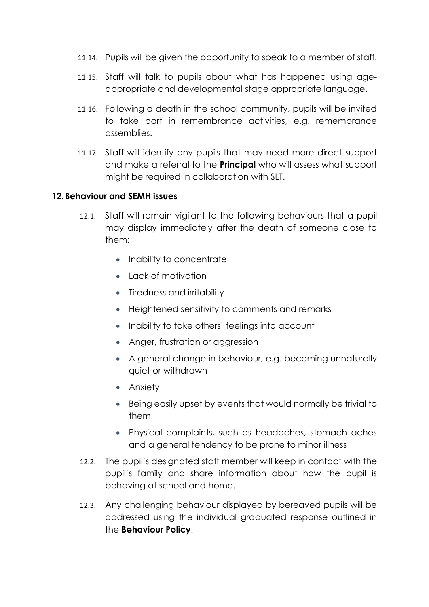- 11.14. Pupils will be given the opportunity to speak to a member of staff.
- 11.15. Staff will talk to pupils about what has happened using ageappropriate and developmental stage appropriate language.
- 11.16. Following a death in the school community, pupils will be invited to take part in remembrance activities, e.g. remembrance assemblies.
- 11.17. Staff will identify any pupils that may need more direct support and make a referral to the **Principal** who will assess what support might be required in collaboration with SLT.

#### <span id="page-14-0"></span>**12.Behaviour and SEMH issues**

- 12.1. Staff will remain vigilant to the following behaviours that a pupil may display immediately after the death of someone close to them:
	- Inability to concentrate
	- Lack of motivation
	- Tiredness and irritability
	- Heightened sensitivity to comments and remarks
	- Inability to take others' feelings into account
	- Anger, frustration or aggression
	- A general change in behaviour, e.g. becoming unnaturally quiet or withdrawn
	- Anxiety
	- Being easily upset by events that would normally be trivial to them
	- Physical complaints, such as headaches, stomach aches and a general tendency to be prone to minor illness
- 12.2. The pupil's designated staff member will keep in contact with the pupil's family and share information about how the pupil is behaving at school and home.
- 12.3. Any challenging behaviour displayed by bereaved pupils will be addressed using the individual graduated response outlined in the **Behaviour Policy**.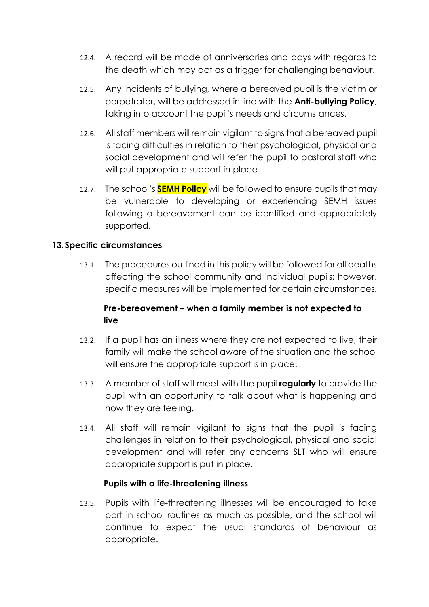- 12.4. A record will be made of anniversaries and days with regards to the death which may act as a trigger for challenging behaviour.
- 12.5. Any incidents of bullying, where a bereaved pupil is the victim or perpetrator, will be addressed in line with the **Anti-bullying Policy**, taking into account the pupil's needs and circumstances.
- 12.6. All staff members will remain vigilant to signs that a bereaved pupil is facing difficulties in relation to their psychological, physical and social development and will refer the pupil to pastoral staff who will put appropriate support in place.
- 12.7. The school's **SEMH Policy** will be followed to ensure pupils that may be vulnerable to developing or experiencing SEMH issues following a bereavement can be identified and appropriately supported.

## <span id="page-15-0"></span>**13.Specific circumstances**

13.1. The procedures outlined in this policy will be followed for all deaths affecting the school community and individual pupils; however, specific measures will be implemented for certain circumstances.

## **Pre-bereavement – when a family member is not expected to live**

- 13.2. If a pupil has an illness where they are not expected to live, their family will make the school aware of the situation and the school will ensure the appropriate support is in place.
- 13.3. A member of staff will meet with the pupil **regularly** to provide the pupil with an opportunity to talk about what is happening and how they are feeling.
- 13.4. All staff will remain vigilant to signs that the pupil is facing challenges in relation to their psychological, physical and social development and will refer any concerns SLT who will ensure appropriate support is put in place.

#### **Pupils with a life-threatening illness**

13.5. Pupils with life-threatening illnesses will be encouraged to take part in school routines as much as possible, and the school will continue to expect the usual standards of behaviour as appropriate.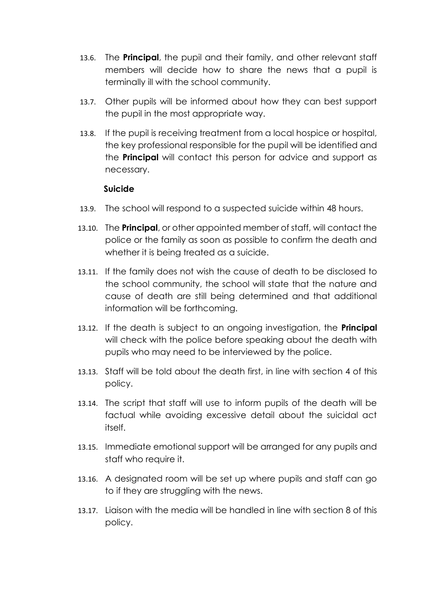- 13.6. The **Principal**, the pupil and their family, and other relevant staff members will decide how to share the news that a pupil is terminally ill with the school community.
- 13.7. Other pupils will be informed about how they can best support the pupil in the most appropriate way.
- 13.8. If the pupil is receiving treatment from a local hospice or hospital, the key professional responsible for the pupil will be identified and the **Principal** will contact this person for advice and support as necessary.

#### **Suicide**

- 13.9. The school will respond to a suspected suicide within 48 hours.
- 13.10. The **Principal**, or other appointed member of staff, will contact the police or the family as soon as possible to confirm the death and whether it is being treated as a suicide.
- 13.11. If the family does not wish the cause of death to be disclosed to the school community, the school will state that the nature and cause of death are still being determined and that additional information will be forthcoming.
- 13.12. If the death is subject to an ongoing investigation, the **Principal** will check with the police before speaking about the death with pupils who may need to be interviewed by the police.
- 13.13. Staff will be told about the death first, in line with [section 4](#page-6-0) of this policy.
- 13.14. The script that staff will use to inform pupils of the death will be factual while avoiding excessive detail about the suicidal act itself.
- 13.15. Immediate emotional support will be arranged for any pupils and staff who require it.
- 13.16. A designated room will be set up where pupils and staff can go to if they are struggling with the news.
- 13.17. Liaison with the media will be handled in line with [section 8](#page-9-1) of this policy.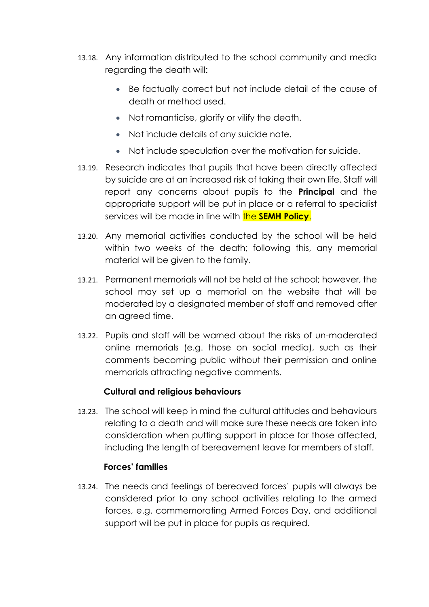- 13.18. Any information distributed to the school community and media regarding the death will:
	- Be factually correct but not include detail of the cause of death or method used.
	- Not romanticise, glorify or vilify the death.
	- Not include details of any suicide note.
	- Not include speculation over the motivation for suicide.
- 13.19. Research indicates that pupils that have been directly affected by suicide are at an increased risk of taking their own life. Staff will report any concerns about pupils to the **Principal** and the appropriate support will be put in place or a referral to specialist services will be made in line with **the SEMH Policy.**
- 13.20. Any memorial activities conducted by the school will be held within two weeks of the death; following this, any memorial material will be given to the family.
- 13.21. Permanent memorials will not be held at the school; however, the school may set up a memorial on the website that will be moderated by a designated member of staff and removed after an agreed time.
- 13.22. Pupils and staff will be warned about the risks of un-moderated online memorials (e.g. those on social media), such as their comments becoming public without their permission and online memorials attracting negative comments.

#### **Cultural and religious behaviours**

13.23. The school will keep in mind the cultural attitudes and behaviours relating to a death and will make sure these needs are taken into consideration when putting support in place for those affected, including the length of bereavement leave for members of staff.

#### **Forces' families**

13.24. The needs and feelings of bereaved forces' pupils will always be considered prior to any school activities relating to the armed forces, e.g. commemorating Armed Forces Day, and additional support will be put in place for pupils as required.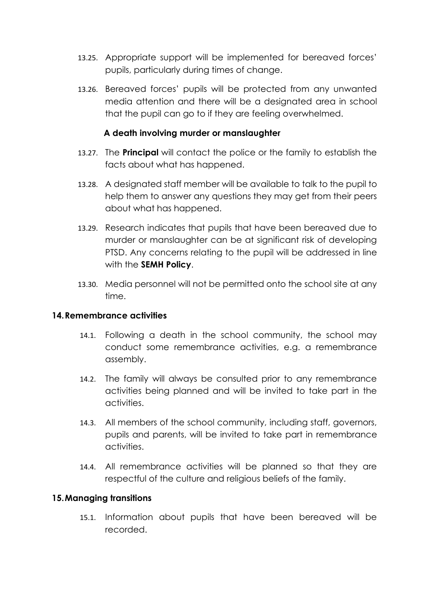- 13.25. Appropriate support will be implemented for bereaved forces' pupils, particularly during times of change.
- 13.26. Bereaved forces' pupils will be protected from any unwanted media attention and there will be a designated area in school that the pupil can go to if they are feeling overwhelmed.

#### **A death involving murder or manslaughter**

- 13.27. The **Principal** will contact the police or the family to establish the facts about what has happened.
- 13.28. A designated staff member will be available to talk to the pupil to help them to answer any questions they may get from their peers about what has happened.
- 13.29. Research indicates that pupils that have been bereaved due to murder or manslaughter can be at significant risk of developing PTSD. Any concerns relating to the pupil will be addressed in line with the **SEMH Policy**.
- 13.30. Media personnel will not be permitted onto the school site at any time.

#### <span id="page-18-0"></span>**14.Remembrance activities**

- 14.1. Following a death in the school community, the school may conduct some remembrance activities, e.g. a remembrance assembly.
- 14.2. The family will always be consulted prior to any remembrance activities being planned and will be invited to take part in the activities.
- 14.3. All members of the school community, including staff, governors, pupils and parents, will be invited to take part in remembrance activities.
- 14.4. All remembrance activities will be planned so that they are respectful of the culture and religious beliefs of the family.

#### <span id="page-18-1"></span>**15.Managing transitions**

15.1. Information about pupils that have been bereaved will be recorded.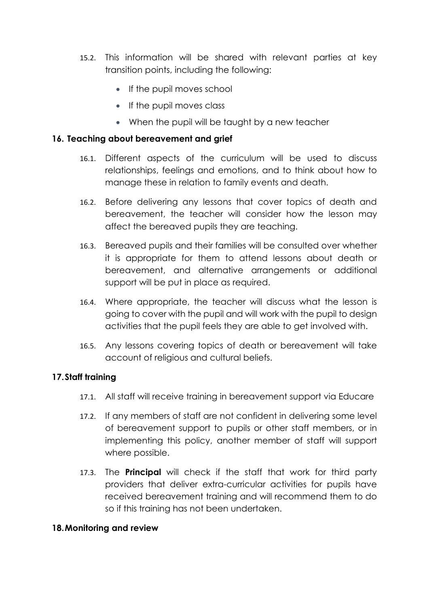- 15.2. This information will be shared with relevant parties at key transition points, including the following:
	- If the pupil moves school
	- If the pupil moves class
	- When the pupil will be taught by a new teacher

#### <span id="page-19-0"></span>**16. Teaching about bereavement and grief**

- 16.1. Different aspects of the curriculum will be used to discuss relationships, feelings and emotions, and to think about how to manage these in relation to family events and death.
- 16.2. Before delivering any lessons that cover topics of death and bereavement, the teacher will consider how the lesson may affect the bereaved pupils they are teaching.
- 16.3. Bereaved pupils and their families will be consulted over whether it is appropriate for them to attend lessons about death or bereavement, and alternative arrangements or additional support will be put in place as required.
- 16.4. Where appropriate, the teacher will discuss what the lesson is going to cover with the pupil and will work with the pupil to design activities that the pupil feels they are able to get involved with.
- 16.5. Any lessons covering topics of death or bereavement will take account of religious and cultural beliefs.

#### <span id="page-19-1"></span>**17.Staff training**

- 17.1. All staff will receive training in bereavement support via Educare
- 17.2. If any members of staff are not confident in delivering some level of bereavement support to pupils or other staff members, or in implementing this policy, another member of staff will support where possible.
- 17.3. The **Principal** will check if the staff that work for third party providers that deliver extra-curricular activities for pupils have received bereavement training and will recommend them to do so if this training has not been undertaken.

#### <span id="page-19-2"></span>**18.Monitoring and review**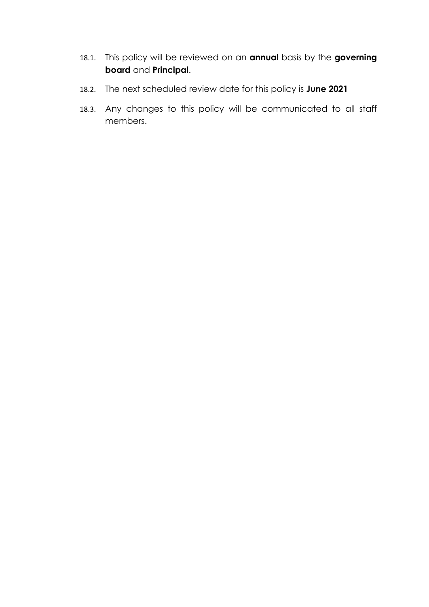- 18.1. This policy will be reviewed on an **annual** basis by the **governing board** and **Principal**.
- 18.2. The next scheduled review date for this policy is **June 2021**
- 18.3. Any changes to this policy will be communicated to all staff members.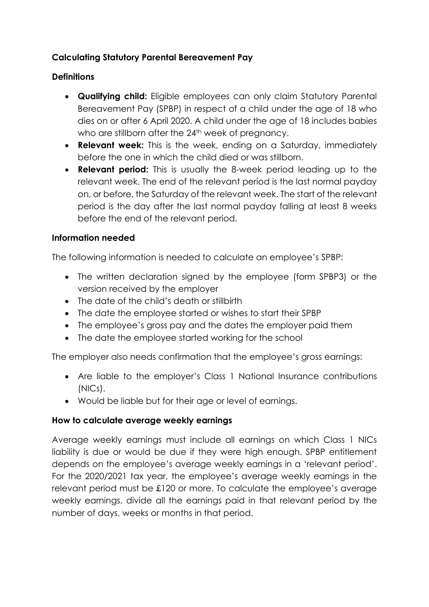## <span id="page-21-0"></span>**Calculating Statutory Parental Bereavement Pay**

## **Definitions**

- **Qualifying child:** Eligible employees can only claim Statutory Parental Bereavement Pay (SPBP) in respect of a child under the age of 18 who dies on or after 6 April 2020. A child under the age of 18 includes babies who are stillborn after the 24<sup>th</sup> week of pregnancy.
- **Relevant week:** This is the week, ending on a Saturday, immediately before the one in which the child died or was stillborn.
- **Relevant period:** This is usually the 8-week period leading up to the relevant week. The end of the relevant period is the last normal payday on, or before, the Saturday of the relevant week. The start of the relevant period is the day after the last normal payday falling at least 8 weeks before the end of the relevant period.

## **Information needed**

The following information is needed to calculate an employee's SPBP:

- The written declaration signed by the employee (form SPBP3) or the version received by the employer
- The date of the child's death or stillbirth
- The date the employee started or wishes to start their SPBP
- The employee's gross pay and the dates the employer paid them
- The date the employee started working for the school

The employer also needs confirmation that the employee's gross earnings:

- Are liable to the employer's Class 1 National Insurance contributions (NICs).
- Would be liable but for their age or level of earnings.

## **How to calculate average weekly earnings**

Average weekly earnings must include all earnings on which Class 1 NICs liability is due or would be due if they were high enough. SPBP entitlement depends on the employee's average weekly earnings in a 'relevant period'. For the 2020/2021 tax year, the employee's average weekly earnings in the relevant period must be £120 or more. To calculate the employee's average weekly earnings, divide all the earnings paid in that relevant period by the number of days, weeks or months in that period.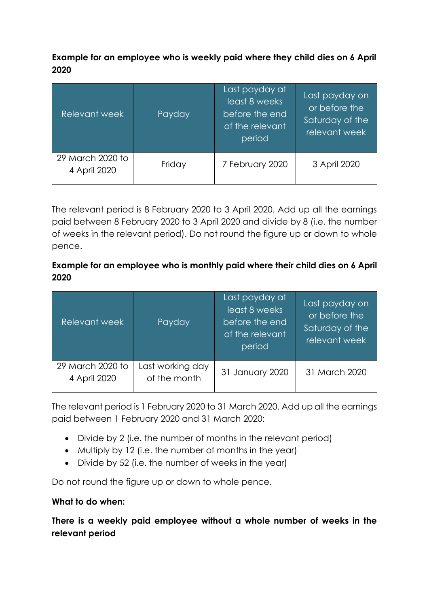**Example for an employee who is weekly paid where they child dies on 6 April 2020** 

| Relevant week                    | Payday | Last payday at<br>least 8 weeks<br>before the end<br>of the relevant<br>period | Last payday on<br>or before the<br>Saturday of the<br>relevant week |
|----------------------------------|--------|--------------------------------------------------------------------------------|---------------------------------------------------------------------|
| 29 March 2020 to<br>4 April 2020 | Friday | 7 February 2020                                                                | 3 April 2020                                                        |

The relevant period is 8 February 2020 to 3 April 2020. Add up all the earnings paid between 8 February 2020 to 3 April 2020 and divide by 8 (i.e. the number of weeks in the relevant period). Do not round the figure up or down to whole pence.

## **Example for an employee who is monthly paid where their child dies on 6 April 2020**

| Relevant week                    | Payday                           | Last payday at<br>least 8 weeks<br>before the end<br>of the relevant<br>period | Last payday on<br>or before the<br>Saturday of the<br>relevant week |
|----------------------------------|----------------------------------|--------------------------------------------------------------------------------|---------------------------------------------------------------------|
| 29 March 2020 to<br>4 April 2020 | Last working day<br>of the month | 31 January 2020                                                                | 31 March 2020                                                       |

The relevant period is 1 February 2020 to 31 March 2020. Add up all the earnings paid between 1 February 2020 and 31 March 2020:

- Divide by 2 (i.e. the number of months in the relevant period)
- Multiply by 12 (i.e. the number of months in the year)
- Divide by 52 (i.e. the number of weeks in the year)

Do not round the figure up or down to whole pence.

## **What to do when:**

**There is a weekly paid employee without a whole number of weeks in the relevant period**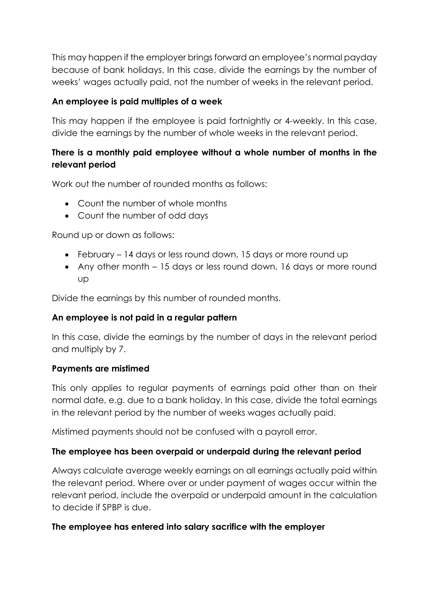This may happen if the employer brings forward an employee's normal payday because of bank holidays. In this case, divide the earnings by the number of weeks' wages actually paid, not the number of weeks in the relevant period.

## **An employee is paid multiples of a week**

This may happen if the employee is paid fortnightly or 4-weekly. In this case, divide the earnings by the number of whole weeks in the relevant period.

## **There is a monthly paid employee without a whole number of months in the relevant period**

Work out the number of rounded months as follows:

- Count the number of whole months
- Count the number of odd days

Round up or down as follows:

- February 14 days or less round down, 15 days or more round up
- Any other month 15 days or less round down, 16 days or more round up

Divide the earnings by this number of rounded months.

## **An employee is not paid in a regular pattern**

In this case, divide the earnings by the number of days in the relevant period and multiply by 7.

## **Payments are mistimed**

This only applies to regular payments of earnings paid other than on their normal date, e.g. due to a bank holiday. In this case, divide the total earnings in the relevant period by the number of weeks wages actually paid.

Mistimed payments should not be confused with a payroll error.

## **The employee has been overpaid or underpaid during the relevant period**

Always calculate average weekly earnings on all earnings actually paid within the relevant period. Where over or under payment of wages occur within the relevant period, include the overpaid or underpaid amount in the calculation to decide if SPBP is due.

## **The employee has entered into salary sacrifice with the employer**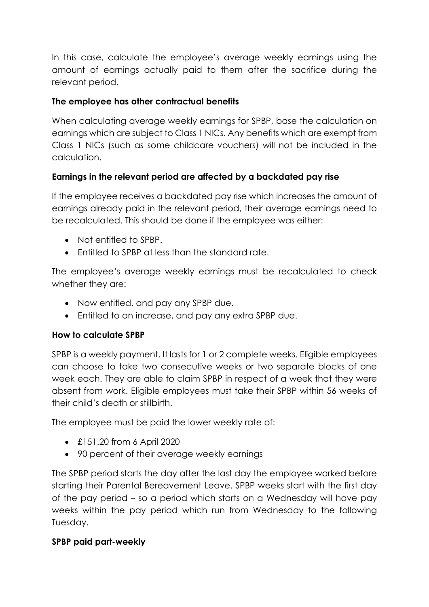In this case, calculate the employee's average weekly earnings using the amount of earnings actually paid to them after the sacrifice during the relevant period.

## **The employee has other contractual benefits**

When calculating average weekly earnings for SPBP, base the calculation on earnings which are subject to Class 1 NICs. Any benefits which are exempt from Class 1 NICs (such as some childcare vouchers) will not be included in the calculation.

## **Earnings in the relevant period are affected by a backdated pay rise**

If the employee receives a backdated pay rise which increases the amount of earnings already paid in the relevant period, their average earnings need to be recalculated. This should be done if the employee was either:

- Not entitled to SPBP.
- Entitled to SPBP at less than the standard rate.

The employee's average weekly earnings must be recalculated to check whether they are:

- Now entitled, and pay any SPBP due.
- Entitled to an increase, and pay any extra SPBP due.

## **How to calculate SPBP**

SPBP is a weekly payment. It lasts for 1 or 2 complete weeks. Eligible employees can choose to take two consecutive weeks or two separate blocks of one week each. They are able to claim SPBP in respect of a week that they were absent from work. Eligible employees must take their SPBP within 56 weeks of their child's death or stillbirth.

The employee must be paid the lower weekly rate of:

- £151.20 from 6 April 2020
- 90 percent of their average weekly earnings

The SPBP period starts the day after the last day the employee worked before starting their Parental Bereavement Leave. SPBP weeks start with the first day of the pay period – so a period which starts on a Wednesday will have pay weeks within the pay period which run from Wednesday to the following Tuesday.

## **SPBP paid part-weekly**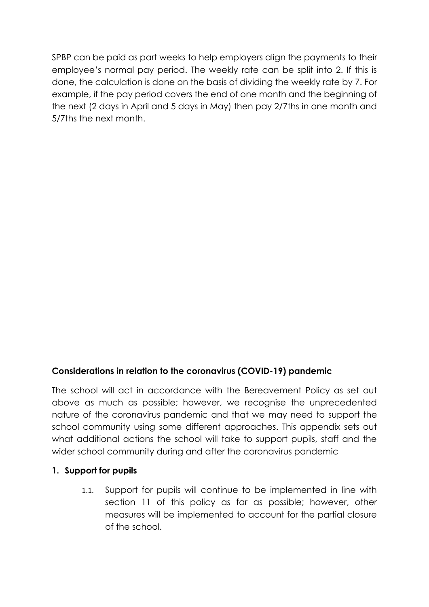SPBP can be paid as part weeks to help employers align the payments to their employee's normal pay period. The weekly rate can be split into 2. If this is done, the calculation is done on the basis of dividing the weekly rate by 7. For example, if the pay period covers the end of one month and the beginning of the next (2 days in April and 5 days in May) then pay 2/7ths in one month and 5/7ths the next month.

## <span id="page-25-0"></span>**Considerations in relation to the coronavirus (COVID-19) pandemic**

The school will act in accordance with the Bereavement Policy as set out above as much as possible; however, we recognise the unprecedented nature of the coronavirus pandemic and that we may need to support the school community using some different approaches. This appendix sets out what additional actions the school will take to support pupils, staff and the wider school community during and after the coronavirus pandemic

#### **1. Support for pupils**

1.1. Support for pupils will continue to be implemented in line with [section 11](#page-12-0) of this policy as far as possible; however, other measures will be implemented to account for the partial closure of the school.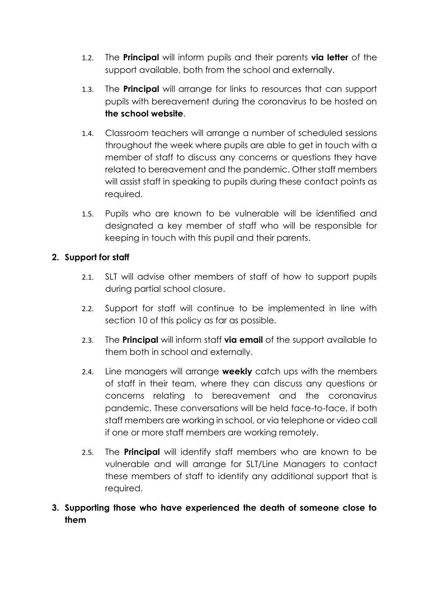- 1.2. The **Principal** will inform pupils and their parents **via letter** of the support available, both from the school and externally.
- 1.3. The **Principal** will arrange for links to resources that can support pupils with bereavement during the coronavirus to be hosted on **the school website**.
- 1.4. Classroom teachers will arrange a number of scheduled sessions throughout the week where pupils are able to get in touch with a member of staff to discuss any concerns or questions they have related to bereavement and the pandemic. Other staff members will assist staff in speaking to pupils during these contact points as required.
- 1.5. Pupils who are known to be vulnerable will be identified and designated a key member of staff who will be responsible for keeping in touch with this pupil and their parents.

## <span id="page-26-0"></span>**2. Support for staff**

- 2.1. SLT will advise other members of staff of how to support pupils during partial school closure.
- 2.2. Support for staff will continue to be implemented in line with [section 10](#page-26-0) of this policy as far as possible.
- 2.3. The **Principal** will inform staff **via email** of the support available to them both in school and externally.
- 2.4. Line managers will arrange **weekly** catch ups with the members of staff in their team, where they can discuss any questions or concerns relating to bereavement and the coronavirus pandemic. These conversations will be held face-to-face, if both staff members are working in school, or via telephone or video call if one or more staff members are working remotely.
- 2.5. The **Principal** will identify staff members who are known to be vulnerable and will arrange for SLT/Line Managers to contact these members of staff to identify any additional support that is required.
- **3. Supporting those who have experienced the death of someone close to them**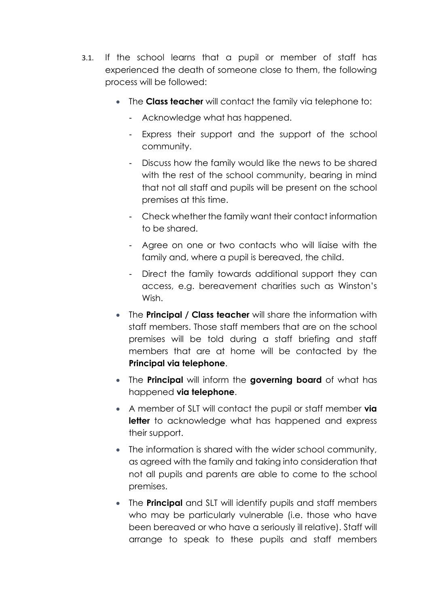- 3.1. If the school learns that a pupil or member of staff has experienced the death of someone close to them, the following process will be followed:
	- The **Class teacher** will contact the family via telephone to:
		- Acknowledge what has happened.
		- Express their support and the support of the school community.
		- Discuss how the family would like the news to be shared with the rest of the school community, bearing in mind that not all staff and pupils will be present on the school premises at this time.
		- Check whether the family want their contact information to be shared.
		- Agree on one or two contacts who will liaise with the family and, where a pupil is bereaved, the child.
		- Direct the family towards additional support they can access, e.g. bereavement charities such as Winston's Wish.
	- The **Principal / Class teacher** will share the information with staff members. Those staff members that are on the school premises will be told during a staff briefing and staff members that are at home will be contacted by the **Principal via telephone**.
	- The **Principal** will inform the **governing board** of what has happened **via telephone**.
	- A member of SLT will contact the pupil or staff member **via**  letter to acknowledge what has happened and express their support.
	- The information is shared with the wider school community, as agreed with the family and taking into consideration that not all pupils and parents are able to come to the school premises.
	- The **Principal** and SLT will identify pupils and staff members who may be particularly vulnerable (i.e. those who have been bereaved or who have a seriously ill relative). Staff will arrange to speak to these pupils and staff members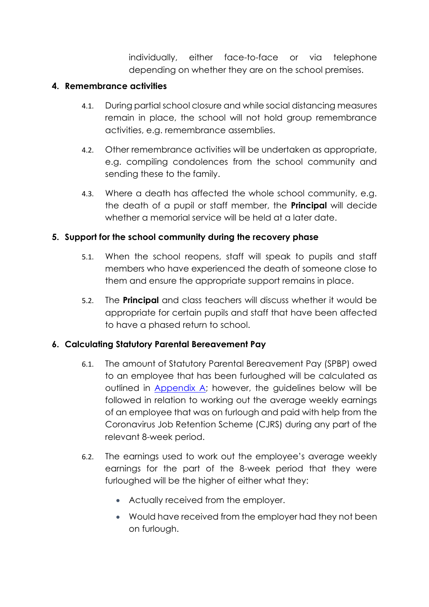individually, either face-to-face or via telephone depending on whether they are on the school premises.

## **4. Remembrance activities**

- 4.1. During partial school closure and while social distancing measures remain in place, the school will not hold group remembrance activities, e.g. remembrance assemblies.
- 4.2. Other remembrance activities will be undertaken as appropriate, e.g. compiling condolences from the school community and sending these to the family.
- 4.3. Where a death has affected the whole school community, e.g. the death of a pupil or staff member, the **Principal** will decide whether a memorial service will be held at a later date.

## **5. Support for the school community during the recovery phase**

- 5.1. When the school reopens, staff will speak to pupils and staff members who have experienced the death of someone close to them and ensure the appropriate support remains in place.
- 5.2. The **Principal** and class teachers will discuss whether it would be appropriate for certain pupils and staff that have been affected to have a phased return to school.

## **6. Calculating Statutory Parental Bereavement Pay**

- 6.1. The amount of Statutory Parental Bereavement Pay (SPBP) owed to an employee that has been furloughed will be calculated as outlined in [Appendix A;](#page-21-0) however, the guidelines below will be followed in relation to working out the average weekly earnings of an employee that was on furlough and paid with help from the Coronavirus Job Retention Scheme (CJRS) during any part of the relevant 8-week period.
- 6.2. The earnings used to work out the employee's average weekly earnings for the part of the 8-week period that they were furloughed will be the higher of either what they:
	- Actually received from the employer.
	- Would have received from the employer had they not been on furlough.